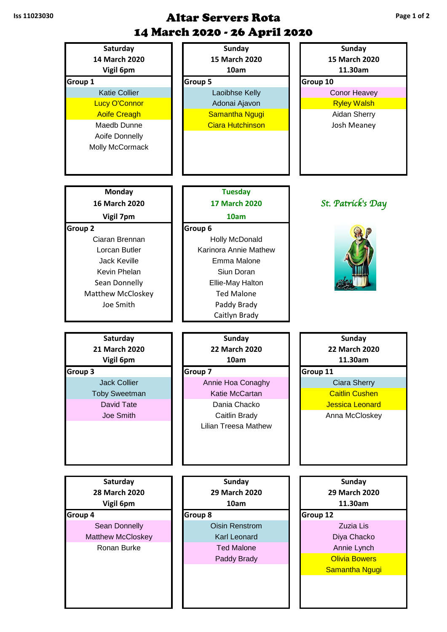## **Iss 11023030 Altar Servers Rota** 14 March 2020 - 26 April 2020

| Saturday                 | <b>Sunday</b>                                | <b>Sunday</b>          |
|--------------------------|----------------------------------------------|------------------------|
| 14 March 2020            | 15 March 2020                                | 15 March 2020          |
| Vigil 6pm                | 10am                                         | 11.30am                |
| Group 1                  | Group 5                                      | Group 10               |
| <b>Katie Collier</b>     | Laoibhse Kelly                               | <b>Conor Heavey</b>    |
| <b>Lucy O'Connor</b>     | Adonai Ajavon                                | <b>Ryley Walsh</b>     |
| <b>Aoife Creagh</b>      | Samantha Ngugi                               | Aidan Sherry           |
| Maedb Dunne              | <b>Ciara Hutchinson</b>                      | Josh Meaney            |
| Aoife Donnelly           |                                              |                        |
| Molly McCormack          |                                              |                        |
|                          |                                              |                        |
|                          |                                              |                        |
|                          |                                              |                        |
| <b>Monday</b>            | <b>Tuesday</b>                               |                        |
| 16 March 2020            | <b>17 March 2020</b>                         | St. Patrick's Day      |
|                          |                                              |                        |
| Vigil 7pm                | 10am                                         |                        |
| Group <sub>2</sub>       | Group 6                                      |                        |
| Ciaran Brennan           | Holly McDonald                               |                        |
| Lorcan Butler            | Karinora Annie Mathew                        |                        |
| <b>Jack Keville</b>      | Emma Malone                                  |                        |
| Kevin Phelan             | Siun Doran                                   |                        |
| Sean Donnelly            | Ellie-May Halton                             |                        |
| <b>Matthew McCloskey</b> | <b>Ted Malone</b>                            |                        |
| Joe Smith                | Paddy Brady                                  |                        |
|                          | Caitlyn Brady                                |                        |
|                          |                                              |                        |
|                          |                                              |                        |
| Saturday                 | <b>Sunday</b>                                | <b>Sunday</b>          |
| 21 March 2020            | <b>22 March 2020</b>                         | 22 March 2020          |
| Vigil 6pm                | 10am                                         | 11.30am                |
| Group 3                  | Group 7                                      | Group 11               |
| <b>Jack Collier</b>      | Annie Hoa Conaghy                            | <b>Ciara Sherry</b>    |
| <b>Toby Sweetman</b>     | Katie McCartan                               | <b>Caitlin Cushen</b>  |
| David Tate               | Dania Chacko                                 | <b>Jessica Leonard</b> |
| Joe Smith                |                                              |                        |
|                          | Caitlin Brady<br><b>Lilian Treesa Mathew</b> | Anna McCloskey         |
|                          |                                              |                        |
|                          |                                              |                        |
|                          |                                              |                        |
|                          |                                              |                        |
| Saturday                 | <b>Sunday</b>                                | <b>Sunday</b>          |
| 28 March 2020            | 29 March 2020                                | 29 March 2020          |
| Vigil 6pm                | 10am                                         | 11.30am                |
| Group 4                  | Group 8                                      | <b>Group 12</b>        |
| Sean Donnelly            | <b>Oisin Renstrom</b>                        | Zuzia Lis              |
| <b>Matthew McCloskey</b> | Karl Leonard                                 | Diya Chacko            |
| Ronan Burke              | <b>Ted Malone</b>                            | Annie Lynch            |
|                          |                                              | <b>Olivia Bowers</b>   |
|                          | Paddy Brady                                  |                        |
|                          |                                              | <b>Samantha Ngugi</b>  |
|                          |                                              |                        |